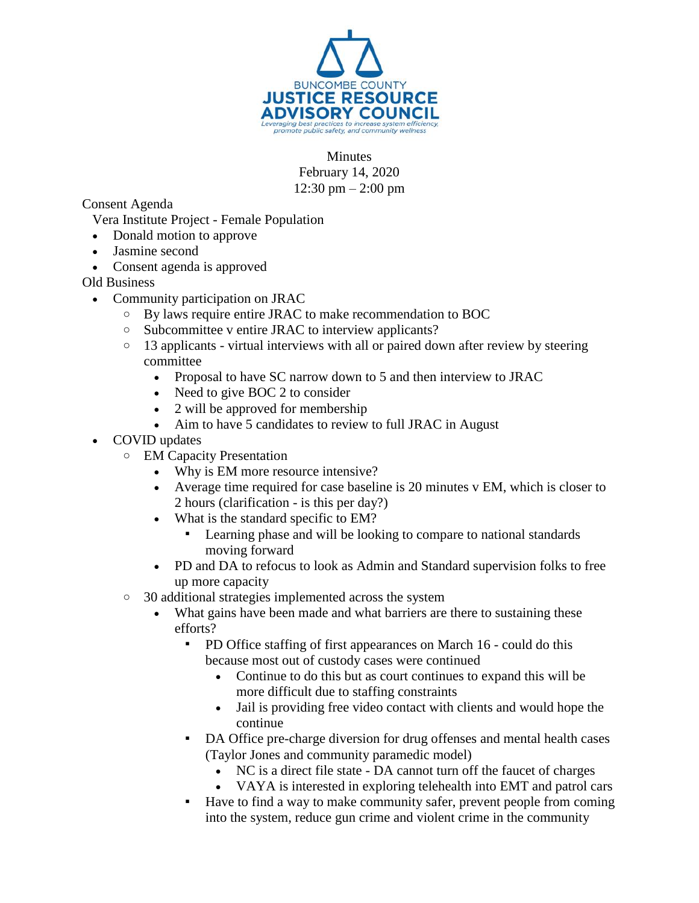

Minutes February 14, 2020 12:30 pm – 2:00 pm

Consent Agenda

Vera Institute Project - Female Population

- Donald motion to approve
- Jasmine second
- Consent agenda is approved

Old Business

- Community participation on JRAC
	- o By laws require entire JRAC to make recommendation to BOC
	- o Subcommittee v entire JRAC to interview applicants?
	- $\circ$  13 applicants virtual interviews with all or paired down after review by steering committee
		- Proposal to have SC narrow down to 5 and then interview to JRAC
		- Need to give BOC 2 to consider
		- 2 will be approved for membership
		- Aim to have 5 candidates to review to full JRAC in August
- COVID updates
	- o EM Capacity Presentation
		- Why is EM more resource intensive?
		- Average time required for case baseline is 20 minutes v EM, which is closer to 2 hours (clarification - is this per day?)
		- What is the standard specific to EM?
			- Learning phase and will be looking to compare to national standards moving forward
		- PD and DA to refocus to look as Admin and Standard supervision folks to free up more capacity
	- o 30 additional strategies implemented across the system
		- What gains have been made and what barriers are there to sustaining these efforts?
			- PD Office staffing of first appearances on March 16 could do this because most out of custody cases were continued
				- Continue to do this but as court continues to expand this will be more difficult due to staffing constraints
				- Jail is providing free video contact with clients and would hope the continue
			- DA Office pre-charge diversion for drug offenses and mental health cases (Taylor Jones and community paramedic model)
				- NC is a direct file state DA cannot turn off the faucet of charges
				- VAYA is interested in exploring telehealth into EMT and patrol cars
			- Have to find a way to make community safer, prevent people from coming into the system, reduce gun crime and violent crime in the community